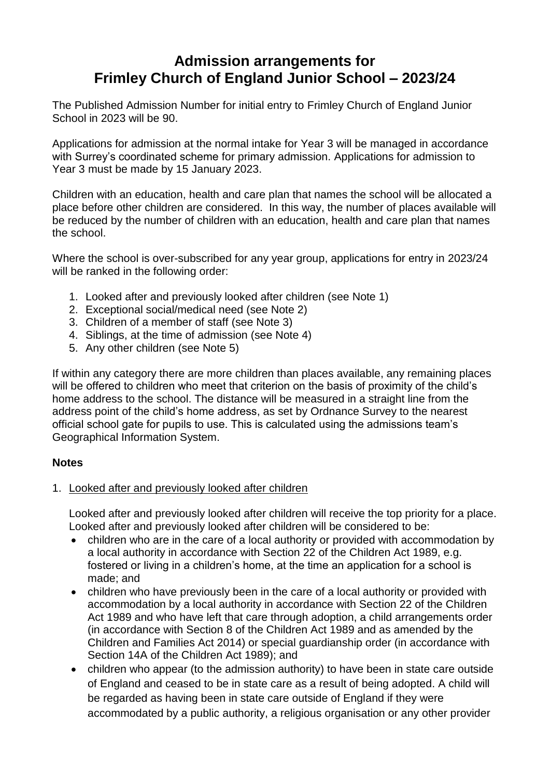# **Admission arrangements for Frimley Church of England Junior School – 2023/24**

The Published Admission Number for initial entry to Frimley Church of England Junior School in 2023 will be 90.

Applications for admission at the normal intake for Year 3 will be managed in accordance with Surrey's coordinated scheme for primary admission. Applications for admission to Year 3 must be made by 15 January 2023.

Children with an education, health and care plan that names the school will be allocated a place before other children are considered. In this way, the number of places available will be reduced by the number of children with an education, health and care plan that names the school.

Where the school is over-subscribed for any year group, applications for entry in 2023/24 will be ranked in the following order:

- 1. Looked after and previously looked after children (see Note 1)
- 2. Exceptional social/medical need (see Note 2)
- 3. Children of a member of staff (see Note 3)
- 4. Siblings, at the time of admission (see Note 4)
- 5. Any other children (see Note 5)

If within any category there are more children than places available, any remaining places will be offered to children who meet that criterion on the basis of proximity of the child's home address to the school. The distance will be measured in a straight line from the address point of the child's home address, as set by Ordnance Survey to the nearest official school gate for pupils to use. This is calculated using the admissions team's Geographical Information System.

## **Notes**

## 1. Looked after and previously looked after children

Looked after and previously looked after children will receive the top priority for a place. Looked after and previously looked after children will be considered to be:

- children who are in the care of a local authority or provided with accommodation by a local authority in accordance with Section 22 of the Children Act 1989, e.g. fostered or living in a children's home, at the time an application for a school is made; and
- children who have previously been in the care of a local authority or provided with accommodation by a local authority in accordance with Section 22 of the Children Act 1989 and who have left that care through adoption, a child arrangements order (in accordance with Section 8 of the Children Act 1989 and as amended by the Children and Families Act 2014) or special guardianship order (in accordance with Section 14A of the Children Act 1989); and
- children who appear (to the admission authority) to have been in state care outside of England and ceased to be in state care as a result of being adopted. A child will be regarded as having been in state care outside of England if they were accommodated by a public authority, a religious organisation or any other provider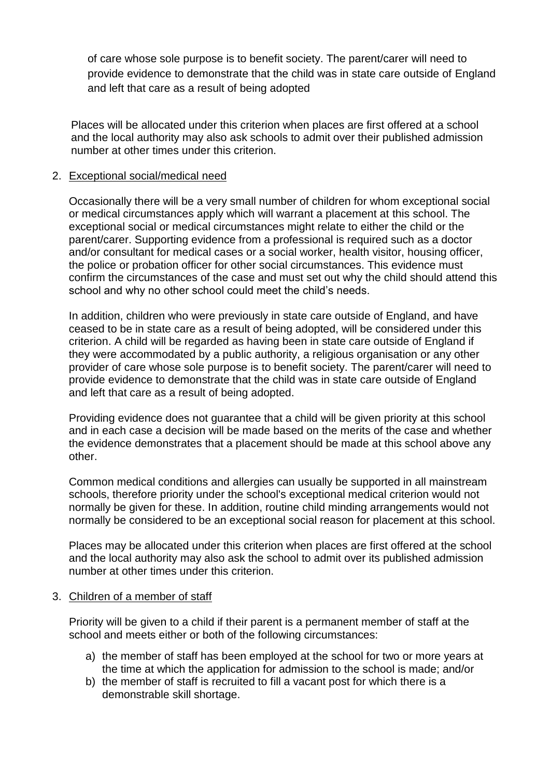of care whose sole purpose is to benefit society. The parent/carer will need to provide evidence to demonstrate that the child was in state care outside of England and left that care as a result of being adopted

Places will be allocated under this criterion when places are first offered at a school and the local authority may also ask schools to admit over their published admission number at other times under this criterion.

## 2. Exceptional social/medical need

Occasionally there will be a very small number of children for whom exceptional social or medical circumstances apply which will warrant a placement at this school. The exceptional social or medical circumstances might relate to either the child or the parent/carer. Supporting evidence from a professional is required such as a doctor and/or consultant for medical cases or a social worker, health visitor, housing officer, the police or probation officer for other social circumstances. This evidence must confirm the circumstances of the case and must set out why the child should attend this school and why no other school could meet the child's needs.

In addition, children who were previously in state care outside of England, and have ceased to be in state care as a result of being adopted, will be considered under this criterion. A child will be regarded as having been in state care outside of England if they were accommodated by a public authority, a religious organisation or any other provider of care whose sole purpose is to benefit society. The parent/carer will need to provide evidence to demonstrate that the child was in state care outside of England and left that care as a result of being adopted.

Providing evidence does not guarantee that a child will be given priority at this school and in each case a decision will be made based on the merits of the case and whether the evidence demonstrates that a placement should be made at this school above any other.

Common medical conditions and allergies can usually be supported in all mainstream schools, therefore priority under the school's exceptional medical criterion would not normally be given for these. In addition, routine child minding arrangements would not normally be considered to be an exceptional social reason for placement at this school.

Places may be allocated under this criterion when places are first offered at the school and the local authority may also ask the school to admit over its published admission number at other times under this criterion.

## 3. Children of a member of staff

Priority will be given to a child if their parent is a permanent member of staff at the school and meets either or both of the following circumstances:

- a) the member of staff has been employed at the school for two or more years at the time at which the application for admission to the school is made; and/or
- b) the member of staff is recruited to fill a vacant post for which there is a demonstrable skill shortage.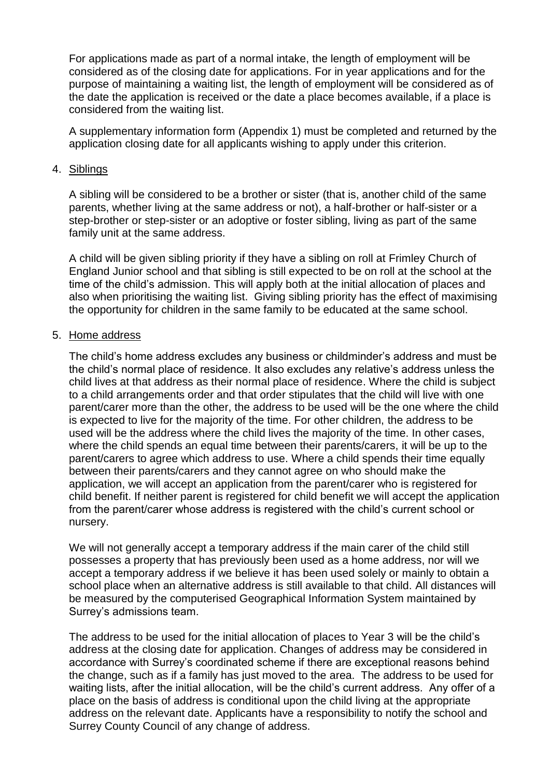For applications made as part of a normal intake, the length of employment will be considered as of the closing date for applications. For in year applications and for the purpose of maintaining a waiting list, the length of employment will be considered as of the date the application is received or the date a place becomes available, if a place is considered from the waiting list.

A supplementary information form (Appendix 1) must be completed and returned by the application closing date for all applicants wishing to apply under this criterion.

#### 4. Siblings

A sibling will be considered to be a brother or sister (that is, another child of the same parents, whether living at the same address or not), a half-brother or half-sister or a step-brother or step-sister or an adoptive or foster sibling, living as part of the same family unit at the same address.

A child will be given sibling priority if they have a sibling on roll at Frimley Church of England Junior school and that sibling is still expected to be on roll at the school at the time of the child's admission. This will apply both at the initial allocation of places and also when prioritising the waiting list. Giving sibling priority has the effect of maximising the opportunity for children in the same family to be educated at the same school.

#### 5. Home address

The child's home address excludes any business or childminder's address and must be the child's normal place of residence. It also excludes any relative's address unless the child lives at that address as their normal place of residence. Where the child is subject to a child arrangements order and that order stipulates that the child will live with one parent/carer more than the other, the address to be used will be the one where the child is expected to live for the majority of the time. For other children, the address to be used will be the address where the child lives the majority of the time. In other cases, where the child spends an equal time between their parents/carers, it will be up to the parent/carers to agree which address to use. Where a child spends their time equally between their parents/carers and they cannot agree on who should make the application, we will accept an application from the parent/carer who is registered for child benefit. If neither parent is registered for child benefit we will accept the application from the parent/carer whose address is registered with the child's current school or nursery.

We will not generally accept a temporary address if the main carer of the child still possesses a property that has previously been used as a home address, nor will we accept a temporary address if we believe it has been used solely or mainly to obtain a school place when an alternative address is still available to that child. All distances will be measured by the computerised Geographical Information System maintained by Surrey's admissions team.

The address to be used for the initial allocation of places to Year 3 will be the child's address at the closing date for application. Changes of address may be considered in accordance with Surrey's coordinated scheme if there are exceptional reasons behind the change, such as if a family has just moved to the area. The address to be used for waiting lists, after the initial allocation, will be the child's current address. Any offer of a place on the basis of address is conditional upon the child living at the appropriate address on the relevant date. Applicants have a responsibility to notify the school and Surrey County Council of any change of address.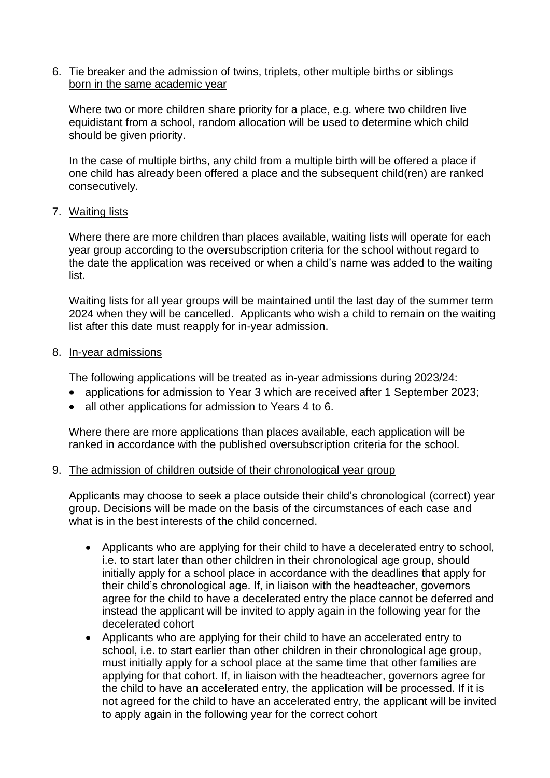### 6. Tie breaker and the admission of twins, triplets, other multiple births or siblings born in the same academic year

Where two or more children share priority for a place, e.g. where two children live equidistant from a school, random allocation will be used to determine which child should be given priority.

In the case of multiple births, any child from a multiple birth will be offered a place if one child has already been offered a place and the subsequent child(ren) are ranked consecutively.

## 7. Waiting lists

Where there are more children than places available, waiting lists will operate for each year group according to the oversubscription criteria for the school without regard to the date the application was received or when a child's name was added to the waiting list.

Waiting lists for all year groups will be maintained until the last day of the summer term 2024 when they will be cancelled. Applicants who wish a child to remain on the waiting list after this date must reapply for in-year admission.

#### 8. In-year admissions

The following applications will be treated as in-year admissions during 2023/24:

- applications for admission to Year 3 which are received after 1 September 2023;
- all other applications for admission to Years 4 to 6.

Where there are more applications than places available, each application will be ranked in accordance with the published oversubscription criteria for the school.

## 9. The admission of children outside of their chronological year group

Applicants may choose to seek a place outside their child's chronological (correct) year group. Decisions will be made on the basis of the circumstances of each case and what is in the best interests of the child concerned.

- Applicants who are applying for their child to have a decelerated entry to school, i.e. to start later than other children in their chronological age group, should initially apply for a school place in accordance with the deadlines that apply for their child's chronological age. If, in liaison with the headteacher, governors agree for the child to have a decelerated entry the place cannot be deferred and instead the applicant will be invited to apply again in the following year for the decelerated cohort
- Applicants who are applying for their child to have an accelerated entry to school, i.e. to start earlier than other children in their chronological age group, must initially apply for a school place at the same time that other families are applying for that cohort. If, in liaison with the headteacher, governors agree for the child to have an accelerated entry, the application will be processed. If it is not agreed for the child to have an accelerated entry, the applicant will be invited to apply again in the following year for the correct cohort